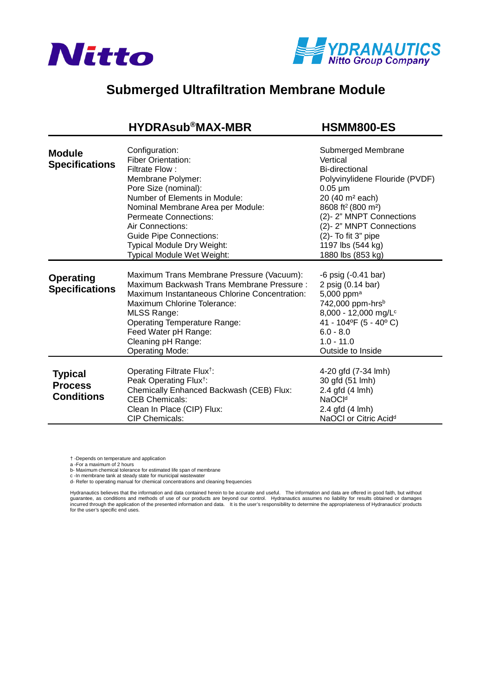



## **Submerged Ultrafiltration Membrane Module**

## **[HYDRAsub®MAX-MBR HSMM800-ES](https://www.pureaqua.com/hydrasub-max-hsmm800-es-membrane/)**

| <b>Module</b><br><b>Specifications</b>                | Configuration:<br><b>Fiber Orientation:</b><br>Filtrate Flow:<br>Membrane Polymer:<br>Pore Size (nominal):<br>Number of Elements in Module:<br>Nominal Membrane Area per Module:<br><b>Permeate Connections:</b><br>Air Connections:<br><b>Guide Pipe Connections:</b><br>Typical Module Dry Weight:<br><b>Typical Module Wet Weight:</b> | Submerged Membrane<br>Vertical<br>Bi-directional<br>Polyvinylidene Flouride (PVDF)<br>$0.05 \mu m$<br>20 (40 m <sup>2</sup> each)<br>8608 ft <sup>2</sup> (800 m <sup>2</sup> )<br>(2)-2" MNPT Connections<br>(2)-2" MNPT Connections<br>(2)- To fit 3" pipe<br>1197 lbs (544 kg)<br>1880 lbs (853 kg) |
|-------------------------------------------------------|-------------------------------------------------------------------------------------------------------------------------------------------------------------------------------------------------------------------------------------------------------------------------------------------------------------------------------------------|--------------------------------------------------------------------------------------------------------------------------------------------------------------------------------------------------------------------------------------------------------------------------------------------------------|
| <b>Operating</b><br><b>Specifications</b>             | Maximum Trans Membrane Pressure (Vacuum):<br>Maximum Backwash Trans Membrane Pressure:<br>Maximum Instantaneous Chlorine Concentration:<br>Maximum Chlorine Tolerance:<br><b>MLSS Range:</b><br><b>Operating Temperature Range:</b><br>Feed Water pH Range:<br>Cleaning pH Range:<br><b>Operating Mode:</b>                               | $-6$ psig $(-0.41$ bar)<br>2 psig (0.14 bar)<br>5,000 ppm <sup>a</sup><br>742,000 ppm-hrsb<br>8,000 - 12,000 mg/L <sup>c</sup><br>41 - 104°F (5 - 40°C)<br>$6.0 - 8.0$<br>$1.0 - 11.0$<br>Outside to Inside                                                                                            |
| <b>Typical</b><br><b>Process</b><br><b>Conditions</b> | Operating Filtrate Flux <sup>†</sup> :<br>Peak Operating Flux <sup>†</sup> :<br>Chemically Enhanced Backwash (CEB) Flux:<br><b>CEB Chemicals:</b><br>Clean In Place (CIP) Flux:<br><b>CIP Chemicals:</b>                                                                                                                                  | 4-20 gfd (7-34 lmh)<br>30 gfd (51 lmh)<br>2.4 gfd (4 lmh)<br>NaOC <sup>Id</sup><br>2.4 gfd (4 lmh)<br>NaOCI or Citric Acid <sup>d</sup>                                                                                                                                                                |

† -Depends on temperature and application

a -For a maximum of 2 hours

b- Maximum chemical tolerance for estimated life span of membrane

c -In membrane tank at steady state for municipal wastewater d- Refer to operating manual for chemical concentrations and cleaning frequencies

Hydranautics believes that the information and data contained herein to be accurate and useful. The information and data are offered in good faith, but without<br>incurred through the application of the presented information